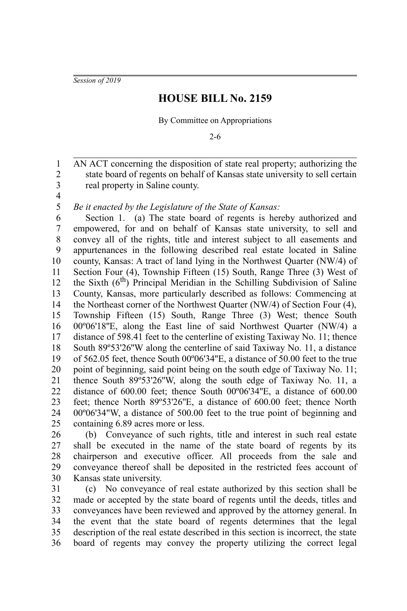*Session of 2019*

## **HOUSE BILL No. 2159**

By Committee on Appropriations

2-6

AN ACT concerning the disposition of state real property; authorizing the state board of regents on behalf of Kansas state university to sell certain real property in Saline county. 1 2 3

4 5

*Be it enacted by the Legislature of the State of Kansas:*

Section 1. (a) The state board of regents is hereby authorized and empowered, for and on behalf of Kansas state university, to sell and convey all of the rights, title and interest subject to all easements and appurtenances in the following described real estate located in Saline county, Kansas: A tract of land lying in the Northwest Quarter (NW/4) of Section Four (4), Township Fifteen (15) South, Range Three (3) West of the Sixth  $(6<sup>th</sup>)$  Principal Meridian in the Schilling Subdivision of Saline County, Kansas, more particularly described as follows: Commencing at the Northeast corner of the Northwest Quarter (NW/4) of Section Four (4), Township Fifteen (15) South, Range Three (3) West; thence South 00º06'18''E, along the East line of said Northwest Quarter (NW/4) a distance of 598.41 feet to the centerline of existing Taxiway No. 11; thence South 89º53'26''W along the centerline of said Taxiway No. 11, a distance of 562.05 feet, thence South 00º06'34''E, a distance of 50.00 feet to the true point of beginning, said point being on the south edge of Taxiway No. 11; thence South 89º53'26''W, along the south edge of Taxiway No. 11, a distance of 600.00 feet; thence South 00°06'34"E, a distance of 600.00 feet; thence North 89º53'26''E, a distance of 600.00 feet; thence North 00º06'34"W, a distance of 500.00 feet to the true point of beginning and containing 6.89 acres more or less. 6 7 8 9 10 11 12 13 14 15 16 17 18 19 20 21 22 23 24 25

(b) Conveyance of such rights, title and interest in such real estate shall be executed in the name of the state board of regents by its chairperson and executive officer. All proceeds from the sale and conveyance thereof shall be deposited in the restricted fees account of Kansas state university. 26 27 28 29 30

(c) No conveyance of real estate authorized by this section shall be made or accepted by the state board of regents until the deeds, titles and conveyances have been reviewed and approved by the attorney general. In the event that the state board of regents determines that the legal description of the real estate described in this section is incorrect, the state board of regents may convey the property utilizing the correct legal 31 32 33 34 35 36